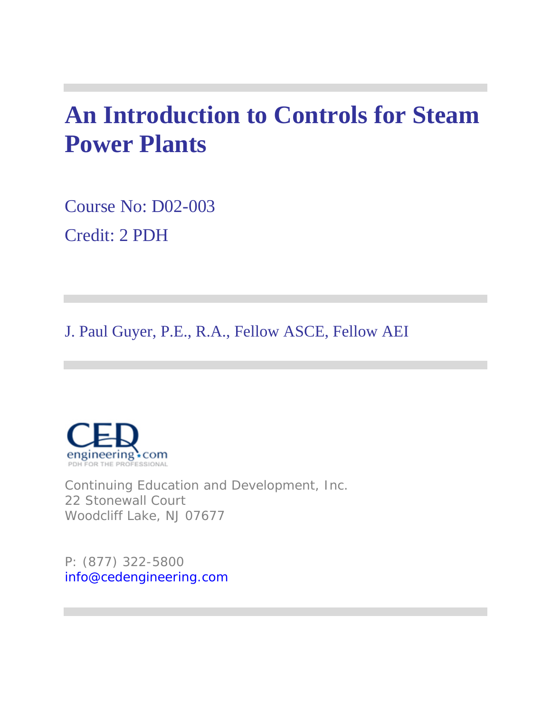## **An Introduction to Controls for Steam Power Plants**

Course No: D02-003 Credit: 2 PDH

J. Paul Guyer, P.E., R.A., Fellow ASCE, Fellow AEI



Continuing Education and Development, Inc. 22 Stonewall Court Woodcliff Lake, NJ 07677

P: (877) 322-5800 info@cedengineering.com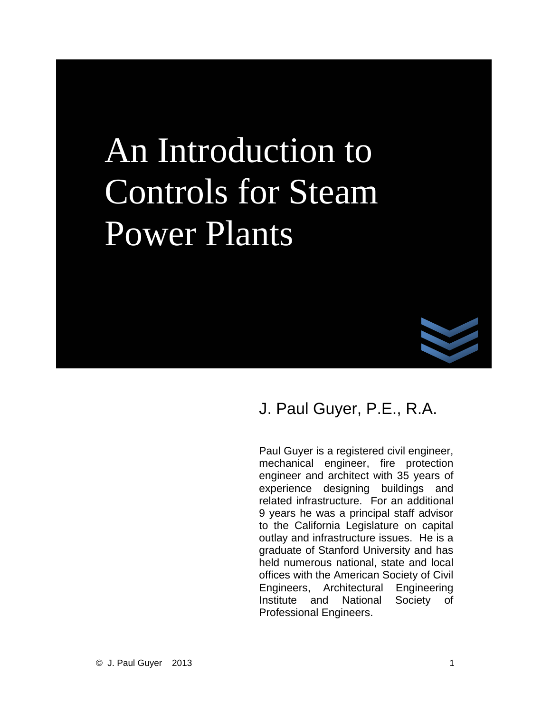# An Introduction to Controls for Steam Power Plants



### J. Paul Guyer, P.E., R.A.

Paul Guyer is a registered civil engineer, mechanical engineer, fire protection engineer and architect with 35 years of experience designing buildings and related infrastructure. For an additional 9 years he was a principal staff advisor to the California Legislature on capital outlay and infrastructure issues. He is a graduate of Stanford University and has held numerous national, state and local offices with the American Society of Civil Engineers, Architectural Engineering Institute and National Society of Professional Engineers.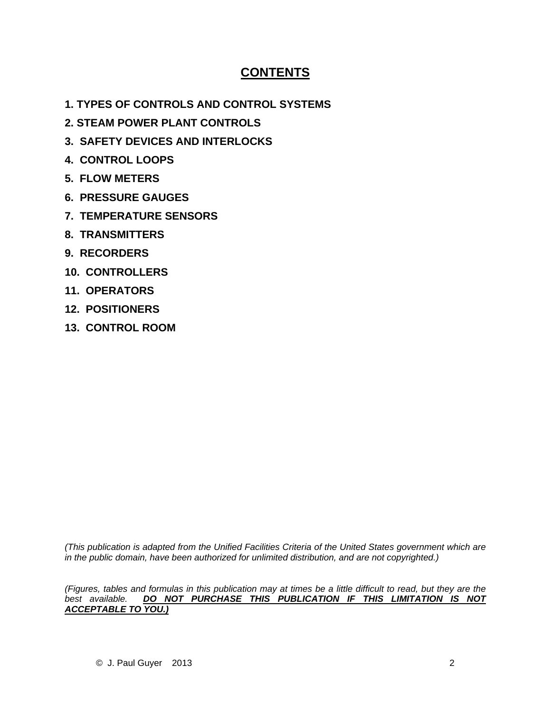### **CONTENTS**

- **1. TYPES OF CONTROLS AND CONTROL SYSTEMS**
- **2. STEAM POWER PLANT CONTROLS**
- **3. SAFETY DEVICES AND INTERLOCKS**
- **4. CONTROL LOOPS**
- **5. FLOW METERS**
- **6. PRESSURE GAUGES**
- **7. TEMPERATURE SENSORS**
- **8. TRANSMITTERS**
- **9. RECORDERS**
- **10. CONTROLLERS**
- **11. OPERATORS**
- **12. POSITIONERS**
- **13. CONTROL ROOM**

*(This publication is adapted from the Unified Facilities Criteria of the United States government which are*  in the public domain, have been authorized for unlimited distribution, and are not copyrighted.)

*(Figures, tables and formulas in this publication may at times be a little difficult to read, but they are the best available. DO NOT PURCHASE THIS PUBLICATION IF THIS LIMITATION IS NOT ACCEPTABLE TO YOU.)*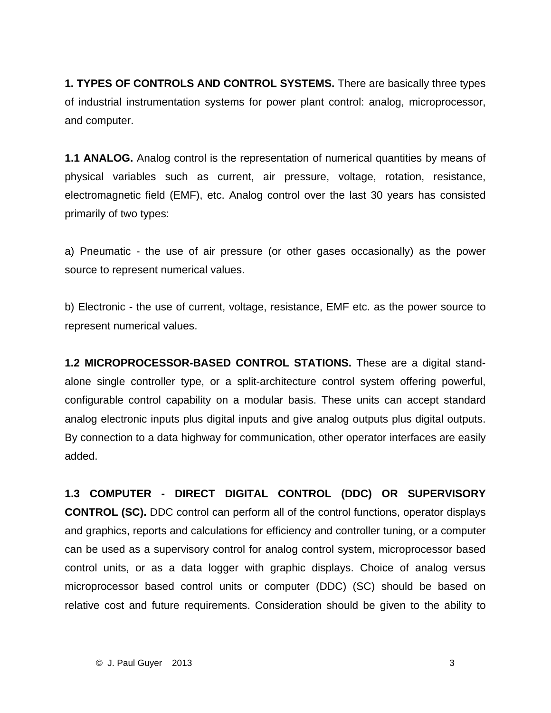**1. TYPES OF CONTROLS AND CONTROL SYSTEMS.** There are basically three types of industrial instrumentation systems for power plant control: analog, microprocessor, and computer.

**1.1 ANALOG.** Analog control is the representation of numerical quantities by means of physical variables such as current, air pressure, voltage, rotation, resistance, electromagnetic field (EMF), etc. Analog control over the last 30 years has consisted primarily of two types:

a) Pneumatic - the use of air pressure (or other gases occasionally) as the power source to represent numerical values.

b) Electronic - the use of current, voltage, resistance, EMF etc. as the power source to represent numerical values.

**1.2 MICROPROCESSOR-BASED CONTROL STATIONS.** These are a digital standalone single controller type, or a split-architecture control system offering powerful, configurable control capability on a modular basis. These units can accept standard analog electronic inputs plus digital inputs and give analog outputs plus digital outputs. By connection to a data highway for communication, other operator interfaces are easily added.

**1.3 COMPUTER - DIRECT DIGITAL CONTROL (DDC) OR SUPERVISORY CONTROL (SC).** DDC control can perform all of the control functions, operator displays and graphics, reports and calculations for efficiency and controller tuning, or a computer can be used as a supervisory control for analog control system, microprocessor based control units, or as a data logger with graphic displays. Choice of analog versus microprocessor based control units or computer (DDC) (SC) should be based on relative cost and future requirements. Consideration should be given to the ability to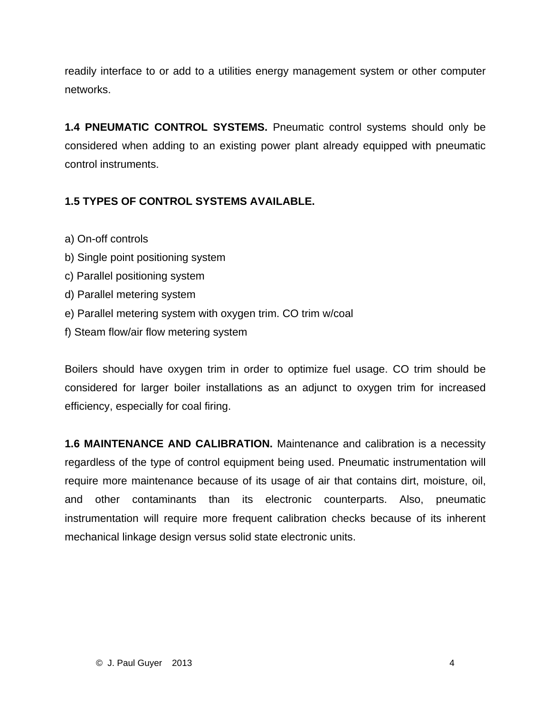readily interface to or add to a utilities energy management system or other computer networks.

**1.4 PNEUMATIC CONTROL SYSTEMS.** Pneumatic control systems should only be considered when adding to an existing power plant already equipped with pneumatic control instruments.

### **1.5 TYPES OF CONTROL SYSTEMS AVAILABLE.**

- a) On-off controls
- b) Single point positioning system
- c) Parallel positioning system
- d) Parallel metering system
- e) Parallel metering system with oxygen trim. CO trim w/coal
- f) Steam flow/air flow metering system

Boilers should have oxygen trim in order to optimize fuel usage. CO trim should be considered for larger boiler installations as an adjunct to oxygen trim for increased efficiency, especially for coal firing.

**1.6 MAINTENANCE AND CALIBRATION.** Maintenance and calibration is a necessity regardless of the type of control equipment being used. Pneumatic instrumentation will require more maintenance because of its usage of air that contains dirt, moisture, oil, and other contaminants than its electronic counterparts. Also, pneumatic instrumentation will require more frequent calibration checks because of its inherent mechanical linkage design versus solid state electronic units.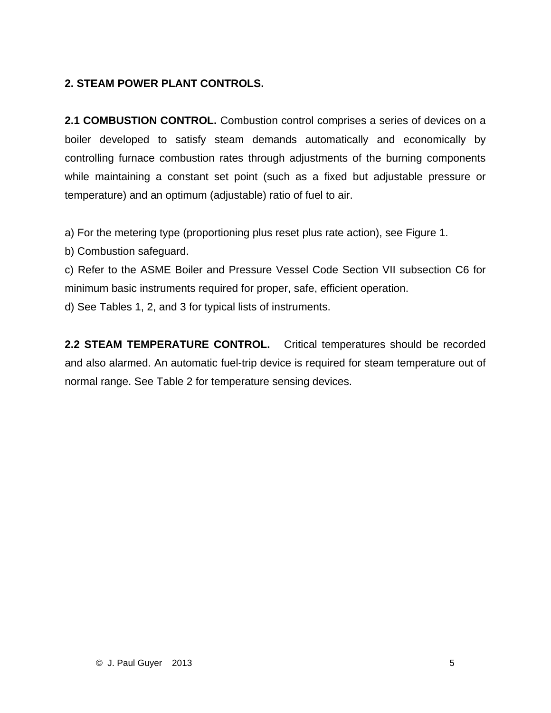### **2. STEAM POWER PLANT CONTROLS.**

**2.1 COMBUSTION CONTROL.** Combustion control comprises a series of devices on a boiler developed to satisfy steam demands automatically and economically by controlling furnace combustion rates through adjustments of the burning components while maintaining a constant set point (such as a fixed but adjustable pressure or temperature) and an optimum (adjustable) ratio of fuel to air.

a) For the metering type (proportioning plus reset plus rate action), see Figure 1.

b) Combustion safeguard.

c) Refer to the ASME Boiler and Pressure Vessel Code Section VII subsection C6 for minimum basic instruments required for proper, safe, efficient operation.

d) See Tables 1, 2, and 3 for typical lists of instruments.

**2.2 STEAM TEMPERATURE CONTROL.** Critical temperatures should be recorded and also alarmed. An automatic fuel-trip device is required for steam temperature out of normal range. See Table 2 for temperature sensing devices.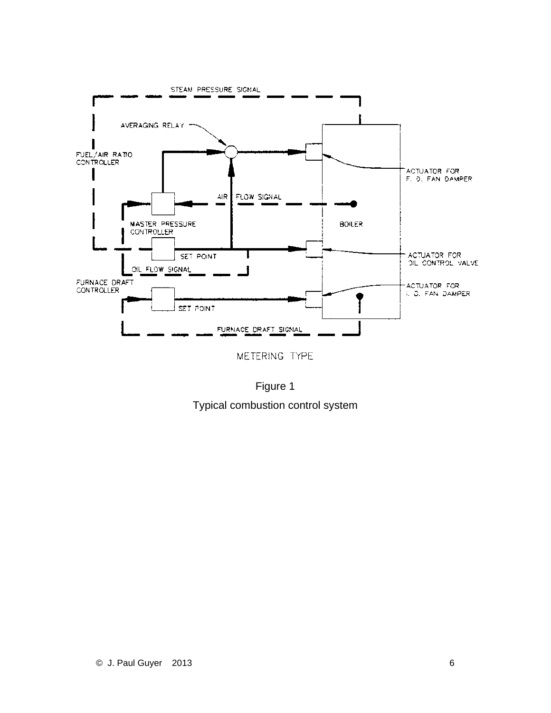

METERING TYPE

Figure 1 Typical combustion control system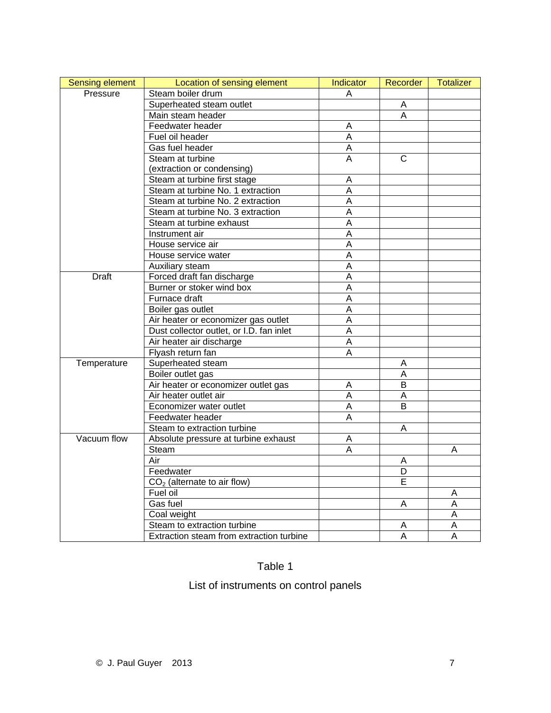| <b>Sensing element</b> | Location of sensing element              | <b>Indicator</b> | Recorder       | <b>Totalizer</b> |
|------------------------|------------------------------------------|------------------|----------------|------------------|
| Pressure               | Steam boiler drum                        | A                |                |                  |
|                        | Superheated steam outlet                 |                  | Α              |                  |
|                        | Main steam header                        |                  | A              |                  |
|                        | Feedwater header                         | A                |                |                  |
|                        | Fuel oil header                          | $\overline{A}$   |                |                  |
|                        | Gas fuel header                          | A                |                |                  |
|                        | Steam at turbine                         | Α                | $\mathsf{C}$   |                  |
|                        | (extraction or condensing)               |                  |                |                  |
|                        | Steam at turbine first stage             | Α                |                |                  |
|                        | Steam at turbine No. 1 extraction        | $\overline{A}$   |                |                  |
|                        | Steam at turbine No. 2 extraction        | A                |                |                  |
|                        | Steam at turbine No. 3 extraction        | A                |                |                  |
|                        | Steam at turbine exhaust                 | A                |                |                  |
|                        | Instrument air                           | A                |                |                  |
|                        | House service air                        | A                |                |                  |
|                        | House service water                      | $\overline{A}$   |                |                  |
|                        | Auxiliary steam                          | $\overline{A}$   |                |                  |
| <b>Draft</b>           | Forced draft fan discharge               | A                |                |                  |
|                        | Burner or stoker wind box                | $\overline{A}$   |                |                  |
|                        | Furnace draft                            | A                |                |                  |
|                        | Boiler gas outlet                        | A                |                |                  |
|                        | Air heater or economizer gas outlet      | A                |                |                  |
|                        | Dust collector outlet, or I.D. fan inlet | $\overline{A}$   |                |                  |
|                        | Air heater air discharge                 | A                |                |                  |
|                        | Flyash return fan                        | A                |                |                  |
| Temperature            | Superheated steam                        |                  | A              |                  |
|                        | Boiler outlet gas                        |                  | A              |                  |
|                        | Air heater or economizer outlet gas      | Α                | B              |                  |
|                        | Air heater outlet air                    | A                | A              |                  |
|                        | Economizer water outlet                  | A                | B              |                  |
|                        | Feedwater header                         | $\overline{A}$   |                |                  |
|                        | Steam to extraction turbine              |                  | A              |                  |
| Vacuum flow            | Absolute pressure at turbine exhaust     | A                |                |                  |
|                        | Steam                                    | Α                |                | A                |
|                        | Air                                      |                  | A              |                  |
|                        | Feedwater                                |                  | $\overline{D}$ |                  |
|                        | $CO2$ (alternate to air flow)            |                  | Е              |                  |
|                        | Fuel oil                                 |                  |                | Α                |
|                        | Gas fuel                                 |                  | A              | A                |
|                        | Coal weight                              |                  |                | A                |
|                        | Steam to extraction turbine              |                  | A              | А                |
|                        | Extraction steam from extraction turbine |                  | $\overline{A}$ | $\overline{A}$   |

### Table 1

List of instruments on control panels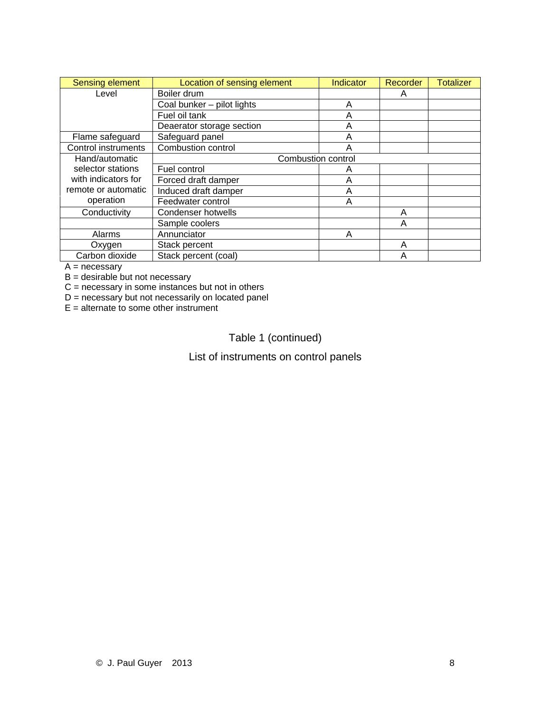| Sensing element     | Location of sensing element | Indicator | Recorder | <b>Totalizer</b> |
|---------------------|-----------------------------|-----------|----------|------------------|
| Level               | Boiler drum                 |           | Α        |                  |
|                     | Coal bunker - pilot lights  | A         |          |                  |
|                     | Fuel oil tank               | Α         |          |                  |
|                     | Deaerator storage section   | А         |          |                  |
| Flame safeguard     | Safeguard panel             | А         |          |                  |
| Control instruments | <b>Combustion control</b>   |           |          |                  |
| Hand/automatic      | <b>Combustion control</b>   |           |          |                  |
| selector stations   | Fuel control                | Α         |          |                  |
| with indicators for | Forced draft damper         | А         |          |                  |
| remote or automatic | Induced draft damper        | А         |          |                  |
| operation           | Feedwater control           | Α         |          |                  |
| Conductivity        | <b>Condenser hotwells</b>   |           | Α        |                  |
|                     | Sample coolers              |           | A        |                  |
| Alarms              | Annunciator                 | Α         |          |                  |
| Oxygen              | Stack percent               |           | Α        |                  |
| Carbon dioxide      | Stack percent (coal)        |           |          |                  |

 $A = necessary$ 

B = desirable but not necessary

 $C =$  necessary in some instances but not in others

D = necessary but not necessarily on located panel

 $E =$  alternate to some other instrument

Table 1 (continued)

List of instruments on control panels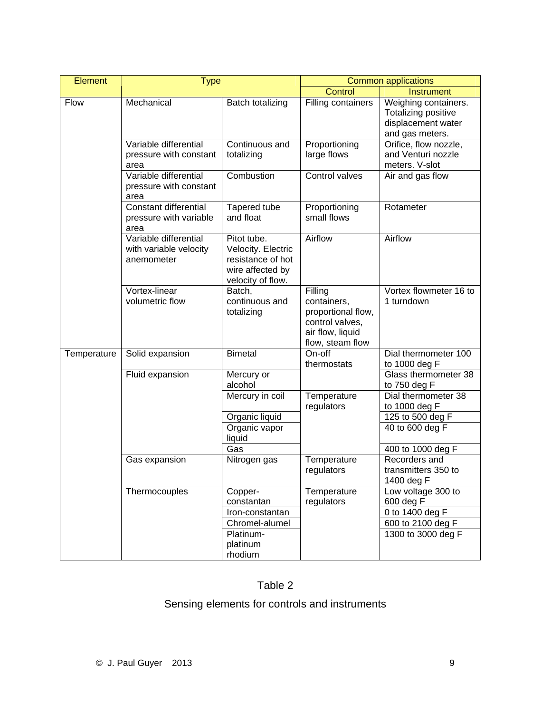| <b>Element</b> | <b>Type</b>                                                   |                                                                                                 |                                                                                                         | <b>Common applications</b>                                                           |
|----------------|---------------------------------------------------------------|-------------------------------------------------------------------------------------------------|---------------------------------------------------------------------------------------------------------|--------------------------------------------------------------------------------------|
|                |                                                               |                                                                                                 | Control                                                                                                 | <b>Instrument</b>                                                                    |
| Flow           | Mechanical                                                    | Batch totalizing                                                                                | Filling containers                                                                                      | Weighing containers.<br>Totalizing positive<br>displacement water<br>and gas meters. |
|                | Variable differential<br>pressure with constant<br>area       | Continuous and<br>totalizing                                                                    | Proportioning<br>large flows                                                                            | Orifice, flow nozzle,<br>and Venturi nozzle<br>meters. V-slot                        |
|                | Variable differential<br>pressure with constant<br>area       | Combustion                                                                                      | Control valves                                                                                          | Air and gas flow                                                                     |
|                | Constant differential<br>pressure with variable<br>area       | Tapered tube<br>and float                                                                       | Proportioning<br>small flows                                                                            | Rotameter                                                                            |
|                | Variable differential<br>with variable velocity<br>anemometer | Pitot tube.<br>Velocity. Electric<br>resistance of hot<br>wire affected by<br>velocity of flow. | Airflow                                                                                                 | Airflow                                                                              |
|                | Vortex-linear<br>volumetric flow                              | Batch,<br>continuous and<br>totalizing                                                          | Filling<br>containers,<br>proportional flow,<br>control valves,<br>air flow, liquid<br>flow, steam flow | Vortex flowmeter 16 to<br>1 turndown                                                 |
| Temperature    | Solid expansion                                               | <b>Bimetal</b>                                                                                  | On-off<br>thermostats                                                                                   | Dial thermometer 100<br>to 1000 deg F                                                |
|                | Fluid expansion                                               | Mercury or<br>alcohol                                                                           |                                                                                                         | Glass thermometer 38<br>to 750 deg F                                                 |
|                |                                                               | Mercury in coil                                                                                 | Temperature<br>regulators                                                                               | Dial thermometer 38<br>to 1000 deg F                                                 |
|                |                                                               | Organic liquid                                                                                  |                                                                                                         | 125 to 500 deg F                                                                     |
|                |                                                               | Organic vapor<br>liquid                                                                         |                                                                                                         | 40 to 600 deg F                                                                      |
|                |                                                               | Gas                                                                                             |                                                                                                         | 400 to 1000 deg F                                                                    |
|                | Gas expansion                                                 | Nitrogen gas                                                                                    | Temperature<br>regulators                                                                               | Recorders and<br>transmitters 350 to<br>1400 deg F                                   |
|                | Thermocouples                                                 | Copper-<br>constantan                                                                           | Temperature<br>regulators                                                                               | Low voltage 300 to<br>600 deg F                                                      |
|                |                                                               | Iron-constantan                                                                                 |                                                                                                         | 0 to 1400 deg F                                                                      |
|                |                                                               | Chromel-alumel                                                                                  |                                                                                                         | 600 to 2100 deg F                                                                    |
|                |                                                               | Platinum-<br>platinum<br>rhodium                                                                |                                                                                                         | 1300 to 3000 deg F                                                                   |

### Table 2

### Sensing elements for controls and instruments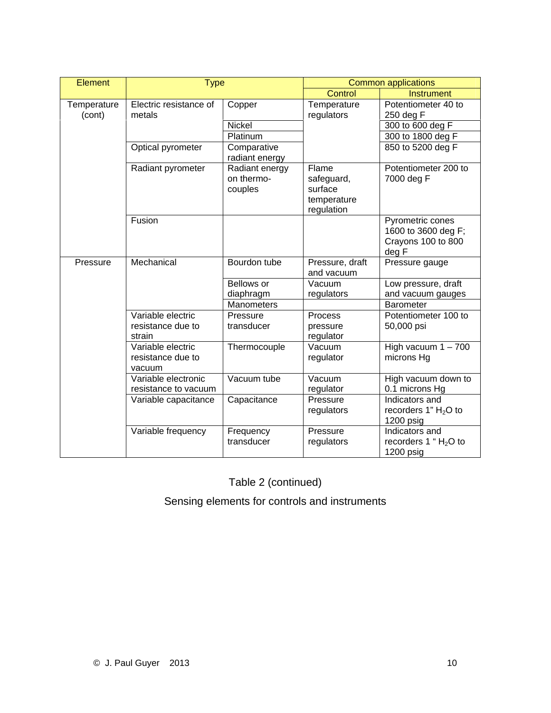| Element               | <b>Type</b>                                      |                                         |                                                             | <b>Common applications</b>                                             |
|-----------------------|--------------------------------------------------|-----------------------------------------|-------------------------------------------------------------|------------------------------------------------------------------------|
|                       |                                                  |                                         | Control                                                     | <b>Instrument</b>                                                      |
| Temperature<br>(cont) | Electric resistance of<br>metals                 | Copper                                  | Temperature<br>regulators                                   | Potentiometer 40 to<br>250 deg F                                       |
|                       |                                                  | Nickel                                  |                                                             | 300 to 600 deg F                                                       |
|                       |                                                  | Platinum                                |                                                             | 300 to 1800 deg F                                                      |
|                       | Optical pyrometer                                | Comparative<br>radiant energy           |                                                             | 850 to 5200 deg F                                                      |
|                       | Radiant pyrometer                                | Radiant energy<br>on thermo-<br>couples | Flame<br>safeguard,<br>surface<br>temperature<br>regulation | Potentiometer 200 to<br>7000 deg F                                     |
|                       | Fusion                                           |                                         |                                                             | Pyrometric cones<br>1600 to 3600 deg F;<br>Crayons 100 to 800<br>deg F |
| Pressure              | Mechanical                                       | Bourdon tube                            | Pressure, draft<br>and vacuum                               | Pressure gauge                                                         |
|                       |                                                  | Bellows or                              | Vacuum                                                      | Low pressure, draft                                                    |
|                       |                                                  | diaphragm                               | regulators                                                  | and vacuum gauges                                                      |
|                       |                                                  | Manometers                              |                                                             | Barometer                                                              |
|                       | Variable electric<br>resistance due to<br>strain | Pressure<br>transducer                  | Process<br>pressure<br>regulator                            | Potentiometer 100 to<br>50,000 psi                                     |
|                       | Variable electric<br>resistance due to<br>vacuum | Thermocouple                            | Vacuum<br>regulator                                         | High vacuum $1 - 700$<br>microns Hg                                    |
|                       | Variable electronic<br>resistance to vacuum      | Vacuum tube                             | Vacuum<br>regulator                                         | High vacuum down to<br>0.1 microns Hg                                  |
|                       | Variable capacitance                             | Capacitance                             | Pressure<br>regulators                                      | Indicators and<br>recorders $1" H2O$ to<br>1200 psig                   |
|                       | Variable frequency                               | Frequency<br>transducer                 | Pressure<br>regulators                                      | Indicators and<br>recorders 1 " $H2O$ to<br>1200 psig                  |

Table 2 (continued)

Sensing elements for controls and instruments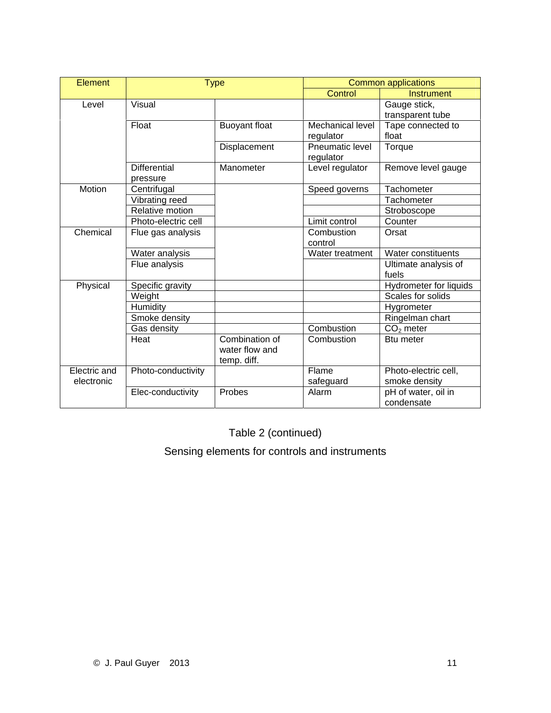| Element                    |                                 | <b>Type</b>                                     |                                      | <b>Common applications</b>            |
|----------------------------|---------------------------------|-------------------------------------------------|--------------------------------------|---------------------------------------|
|                            |                                 |                                                 | Control                              | <b>Instrument</b>                     |
| Level                      | Visual                          |                                                 |                                      | Gauge stick,<br>transparent tube      |
|                            | Float                           | <b>Buoyant float</b>                            | <b>Mechanical level</b><br>regulator | Tape connected to<br>float            |
|                            |                                 | Displacement                                    | Pneumatic level<br>regulator         | Torque                                |
|                            | <b>Differential</b><br>pressure | Manometer                                       | Level regulator                      | Remove level gauge                    |
| Motion                     | Centrifugal                     |                                                 | Speed governs                        | Tachometer                            |
|                            | Vibrating reed                  |                                                 |                                      | Tachometer                            |
|                            | Relative motion                 |                                                 |                                      | Stroboscope                           |
|                            | Photo-electric cell             |                                                 | Limit control                        | Counter                               |
| Chemical                   | Flue gas analysis               |                                                 | Combustion<br>control                | Orsat                                 |
|                            | Water analysis                  |                                                 | Water treatment                      | Water constituents                    |
|                            | Flue analysis                   |                                                 |                                      | Ultimate analysis of<br>fuels         |
| Physical                   | Specific gravity                |                                                 |                                      | Hydrometer for liquids                |
|                            | Weight                          |                                                 |                                      | Scales for solids                     |
|                            | Humidity                        |                                                 |                                      | Hygrometer                            |
|                            | Smoke density                   |                                                 |                                      | Ringelman chart                       |
|                            | Gas density                     |                                                 | Combustion                           | $CO2$ meter                           |
|                            | Heat                            | Combination of<br>water flow and<br>temp. diff. | Combustion                           | <b>Btu meter</b>                      |
| Electric and<br>electronic | Photo-conductivity              |                                                 | Flame<br>safeguard                   | Photo-electric cell,<br>smoke density |
|                            | Elec-conductivity               | Probes                                          | Alarm                                | pH of water, oil in<br>condensate     |

Table 2 (continued)

Sensing elements for controls and instruments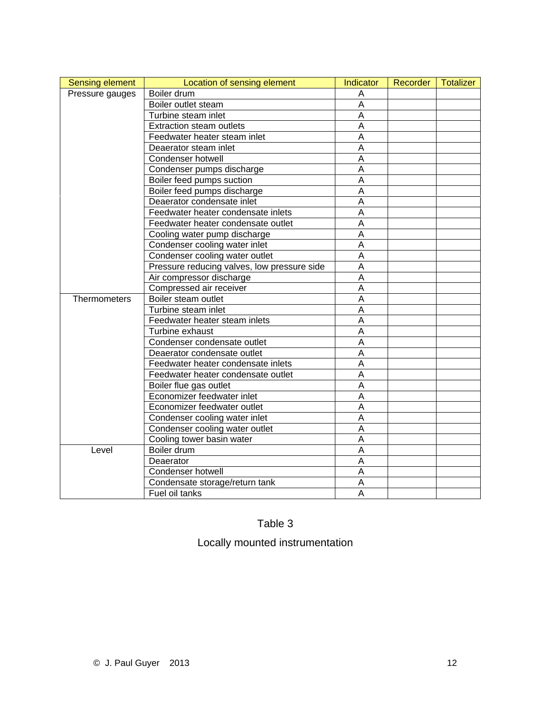| <b>Sensing element</b> | Location of sensing element                 | <b>Indicator</b> | Recorder | Totalizer |
|------------------------|---------------------------------------------|------------------|----------|-----------|
| Pressure gauges        | Boiler drum                                 | Α                |          |           |
|                        | Boiler outlet steam                         | A                |          |           |
|                        | Turbine steam inlet                         | A                |          |           |
|                        | <b>Extraction steam outlets</b>             | A                |          |           |
|                        | Feedwater heater steam inlet                | A                |          |           |
|                        | Deaerator steam inlet                       | A                |          |           |
|                        | Condenser hotwell                           | A                |          |           |
|                        | Condenser pumps discharge                   | A                |          |           |
|                        | Boiler feed pumps suction                   | A                |          |           |
|                        | Boiler feed pumps discharge                 | Α                |          |           |
|                        | Deaerator condensate inlet                  | A                |          |           |
|                        | Feedwater heater condensate inlets          | A                |          |           |
|                        | Feedwater heater condensate outlet          | A                |          |           |
|                        | Cooling water pump discharge                | A                |          |           |
|                        | Condenser cooling water inlet               | A                |          |           |
|                        | Condenser cooling water outlet              | A                |          |           |
|                        | Pressure reducing valves, low pressure side | A                |          |           |
|                        | Air compressor discharge                    | A                |          |           |
|                        | Compressed air receiver                     | Α                |          |           |
| <b>Thermometers</b>    | Boiler steam outlet                         | A                |          |           |
|                        | Turbine steam inlet                         | Α                |          |           |
|                        | Feedwater heater steam inlets               | Α                |          |           |
|                        | Turbine exhaust                             | A                |          |           |
|                        | Condenser condensate outlet                 | A                |          |           |
|                        | Deaerator condensate outlet                 | A                |          |           |
|                        | Feedwater heater condensate inlets          | A                |          |           |
|                        | Feedwater heater condensate outlet          | A                |          |           |
|                        | Boiler flue gas outlet                      | A                |          |           |
|                        | Economizer feedwater inlet                  | A                |          |           |
|                        | Economizer feedwater outlet                 | A                |          |           |
|                        | Condenser cooling water inlet               | A                |          |           |
|                        | Condenser cooling water outlet              | A                |          |           |
|                        | Cooling tower basin water                   | A                |          |           |
| Level                  | Boiler drum                                 | Α                |          |           |
|                        | Deaerator                                   | A                |          |           |
|                        | Condenser hotwell                           | A                |          |           |
|                        | Condensate storage/return tank              | A                |          |           |
|                        | Fuel oil tanks                              | A                |          |           |

### Table 3

### Locally mounted instrumentation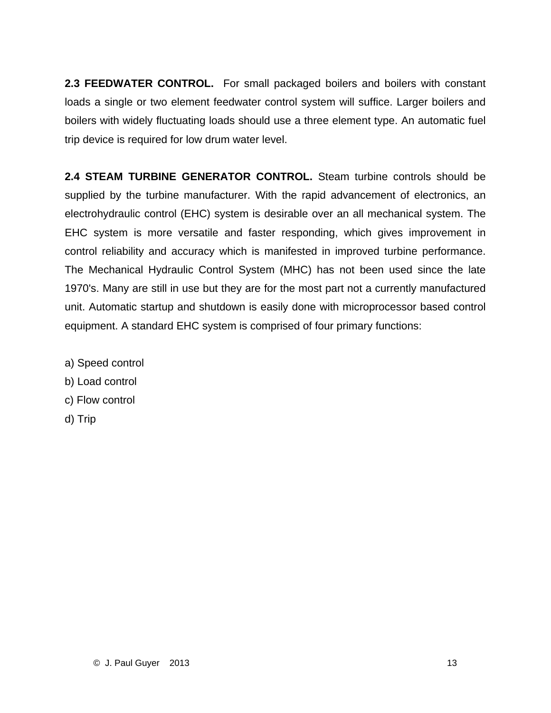**2.3 FEEDWATER CONTROL.** For small packaged boilers and boilers with constant loads a single or two element feedwater control system will suffice. Larger boilers and boilers with widely fluctuating loads should use a three element type. An automatic fuel trip device is required for low drum water level.

**2.4 STEAM TURBINE GENERATOR CONTROL.** Steam turbine controls should be supplied by the turbine manufacturer. With the rapid advancement of electronics, an electrohydraulic control (EHC) system is desirable over an all mechanical system. The EHC system is more versatile and faster responding, which gives improvement in control reliability and accuracy which is manifested in improved turbine performance. The Mechanical Hydraulic Control System (MHC) has not been used since the late 1970's. Many are still in use but they are for the most part not a currently manufactured unit. Automatic startup and shutdown is easily done with microprocessor based control equipment. A standard EHC system is comprised of four primary functions:

- a) Speed control
- b) Load control
- c) Flow control
- d) Trip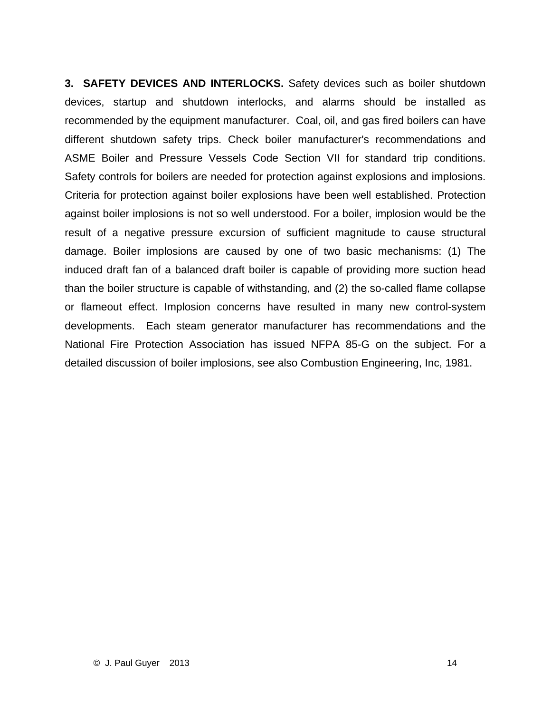**3. SAFETY DEVICES AND INTERLOCKS.** Safety devices such as boiler shutdown devices, startup and shutdown interlocks, and alarms should be installed as recommended by the equipment manufacturer. Coal, oil, and gas fired boilers can have different shutdown safety trips. Check boiler manufacturer's recommendations and ASME Boiler and Pressure Vessels Code Section VII for standard trip conditions. Safety controls for boilers are needed for protection against explosions and implosions. Criteria for protection against boiler explosions have been well established. Protection against boiler implosions is not so well understood. For a boiler, implosion would be the result of a negative pressure excursion of sufficient magnitude to cause structural damage. Boiler implosions are caused by one of two basic mechanisms: (1) The induced draft fan of a balanced draft boiler is capable of providing more suction head than the boiler structure is capable of withstanding, and (2) the so-called flame collapse or flameout effect. Implosion concerns have resulted in many new control-system developments. Each steam generator manufacturer has recommendations and the National Fire Protection Association has issued NFPA 85-G on the subject. For a detailed discussion of boiler implosions, see also Combustion Engineering, Inc, 1981.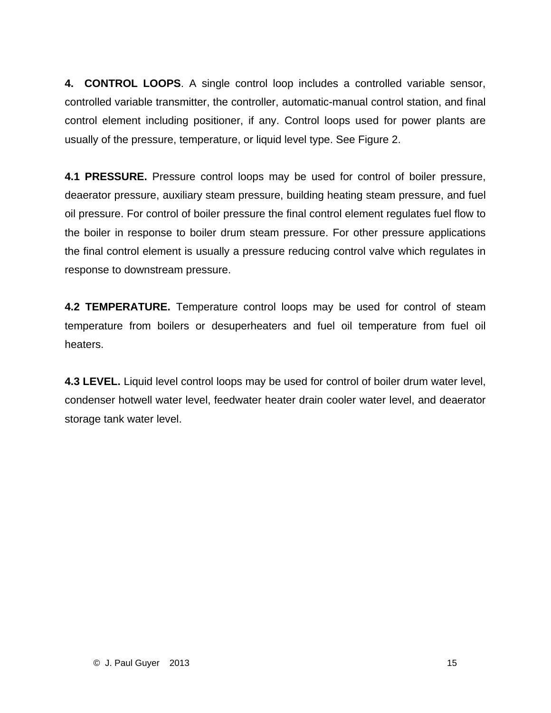**4. CONTROL LOOPS**. A single control loop includes a controlled variable sensor, controlled variable transmitter, the controller, automatic-manual control station, and final control element including positioner, if any. Control loops used for power plants are usually of the pressure, temperature, or liquid level type. See Figure 2.

**4.1 PRESSURE.** Pressure control loops may be used for control of boiler pressure, deaerator pressure, auxiliary steam pressure, building heating steam pressure, and fuel oil pressure. For control of boiler pressure the final control element regulates fuel flow to the boiler in response to boiler drum steam pressure. For other pressure applications the final control element is usually a pressure reducing control valve which regulates in response to downstream pressure.

**4.2 TEMPERATURE.** Temperature control loops may be used for control of steam temperature from boilers or desuperheaters and fuel oil temperature from fuel oil heaters.

**4.3 LEVEL.** Liquid level control loops may be used for control of boiler drum water level, condenser hotwell water level, feedwater heater drain cooler water level, and deaerator storage tank water level.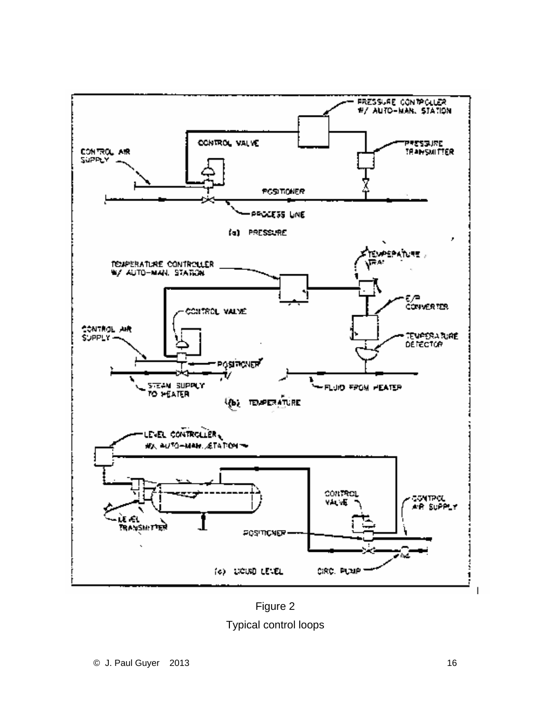

Figure 2 Typical control loops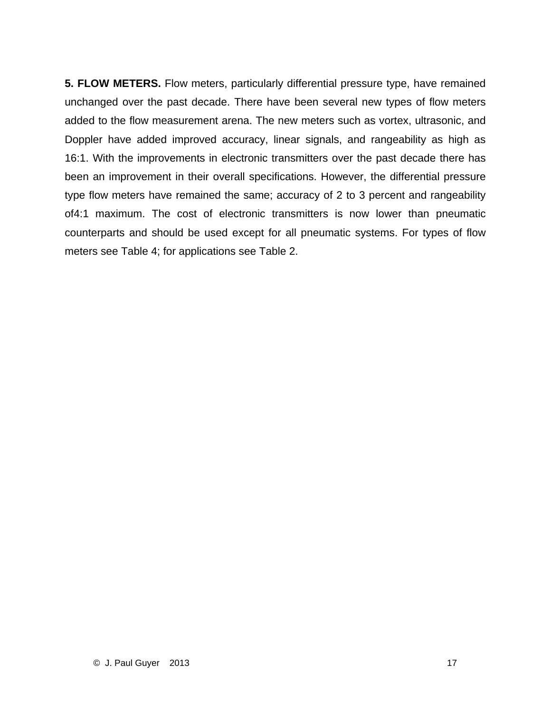**5. FLOW METERS.** Flow meters, particularly differential pressure type, have remained unchanged over the past decade. There have been several new types of flow meters added to the flow measurement arena. The new meters such as vortex, ultrasonic, and Doppler have added improved accuracy, linear signals, and rangeability as high as 16:1. With the improvements in electronic transmitters over the past decade there has been an improvement in their overall specifications. However, the differential pressure type flow meters have remained the same; accuracy of 2 to 3 percent and rangeability of4:1 maximum. The cost of electronic transmitters is now lower than pneumatic counterparts and should be used except for all pneumatic systems. For types of flow meters see Table 4; for applications see Table 2.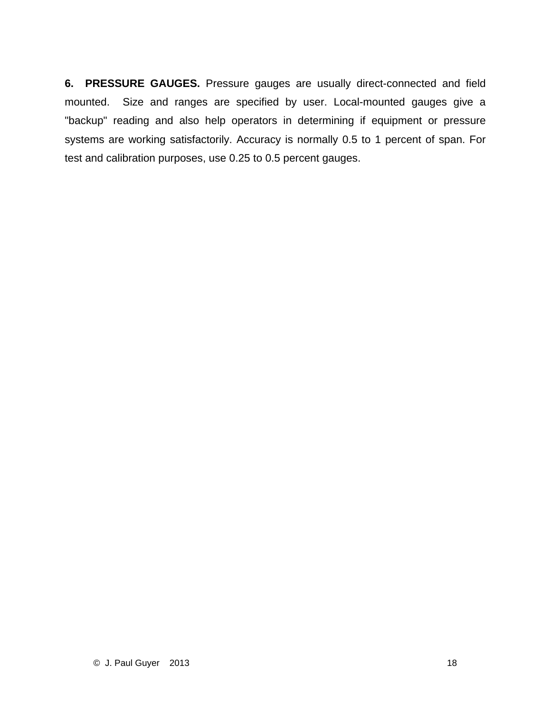**6. PRESSURE GAUGES.** Pressure gauges are usually direct-connected and field mounted. Size and ranges are specified by user. Local-mounted gauges give a "backup" reading and also help operators in determining if equipment or pressure systems are working satisfactorily. Accuracy is normally 0.5 to 1 percent of span. For test and calibration purposes, use 0.25 to 0.5 percent gauges.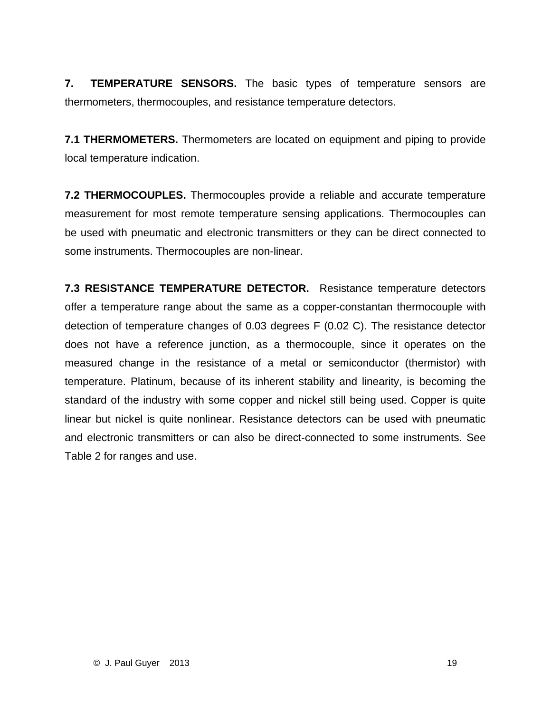**7. TEMPERATURE SENSORS.** The basic types of temperature sensors are thermometers, thermocouples, and resistance temperature detectors.

**7.1 THERMOMETERS.** Thermometers are located on equipment and piping to provide local temperature indication.

**7.2 THERMOCOUPLES.** Thermocouples provide a reliable and accurate temperature measurement for most remote temperature sensing applications. Thermocouples can be used with pneumatic and electronic transmitters or they can be direct connected to some instruments. Thermocouples are non-linear.

**7.3 RESISTANCE TEMPERATURE DETECTOR.** Resistance temperature detectors offer a temperature range about the same as a copper-constantan thermocouple with detection of temperature changes of 0.03 degrees F (0.02 C). The resistance detector does not have a reference junction, as a thermocouple, since it operates on the measured change in the resistance of a metal or semiconductor (thermistor) with temperature. Platinum, because of its inherent stability and linearity, is becoming the standard of the industry with some copper and nickel still being used. Copper is quite linear but nickel is quite nonlinear. Resistance detectors can be used with pneumatic and electronic transmitters or can also be direct-connected to some instruments. See Table 2 for ranges and use.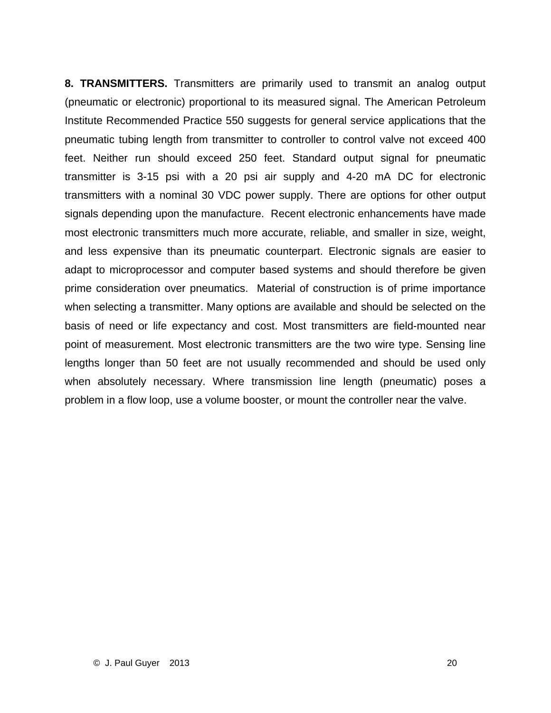**8. TRANSMITTERS.** Transmitters are primarily used to transmit an analog output (pneumatic or electronic) proportional to its measured signal. The American Petroleum Institute Recommended Practice 550 suggests for general service applications that the pneumatic tubing length from transmitter to controller to control valve not exceed 400 feet. Neither run should exceed 250 feet. Standard output signal for pneumatic transmitter is 3-15 psi with a 20 psi air supply and 4-20 mA DC for electronic transmitters with a nominal 30 VDC power supply. There are options for other output signals depending upon the manufacture. Recent electronic enhancements have made most electronic transmitters much more accurate, reliable, and smaller in size, weight, and less expensive than its pneumatic counterpart. Electronic signals are easier to adapt to microprocessor and computer based systems and should therefore be given prime consideration over pneumatics. Material of construction is of prime importance when selecting a transmitter. Many options are available and should be selected on the basis of need or life expectancy and cost. Most transmitters are field-mounted near point of measurement. Most electronic transmitters are the two wire type. Sensing line lengths longer than 50 feet are not usually recommended and should be used only when absolutely necessary. Where transmission line length (pneumatic) poses a problem in a flow loop, use a volume booster, or mount the controller near the valve.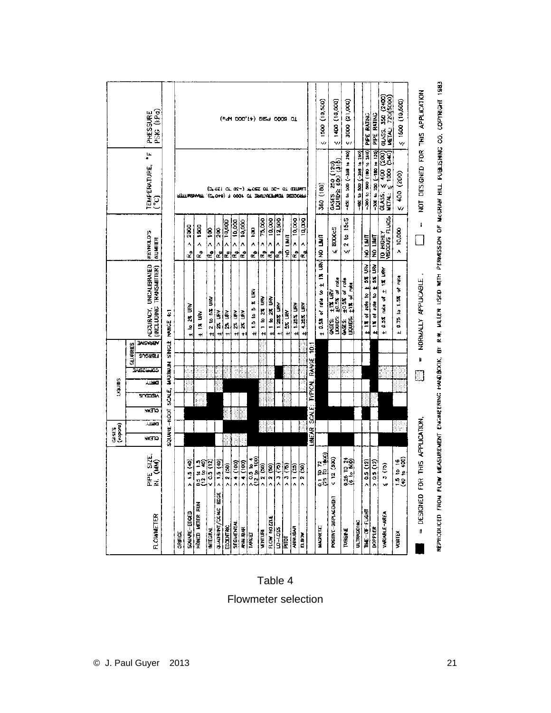|                                  |                                                            | GASES<br>(MOPOTA)                |      |              | SOINDLE        |        |                 |                                   |                                 |                                              |                                               |                                                    |                                       |
|----------------------------------|------------------------------------------------------------|----------------------------------|------|--------------|----------------|--------|-----------------|-----------------------------------|---------------------------------|----------------------------------------------|-----------------------------------------------|----------------------------------------------------|---------------------------------------|
|                                  |                                                            |                                  |      |              |                |        |                 | SILURRIES                         |                                 |                                              |                                               |                                                    |                                       |
| <b>FLOWNETER</b>                 | PIPE SIZE.<br>N. (MM)                                      | NVITO                            | лыкі | <b>NVITO</b> | <b>ANTIQUE</b> | مست    | <b>TARGANGO</b> | <b>INSVIIEV</b><br><b>SUONEL!</b> | INCLUDING                       | ACCURACY, UNCALIBRATED<br><b>TRANSMITTER</b> | REYNOLD'S<br><b>NUMBER</b>                    | li.<br>a<br><b>TEMPERATURE,</b><br>$\widetilde{C}$ | (PSKG (kPa<br>PRESSURE                |
|                                  |                                                            | SQUARE-ROOT SCALE,               |      |              |                |        |                 |                                   | MAXIMUM SINGLE RANGE 4:1        |                                              |                                               |                                                    |                                       |
| ORIFICE                          |                                                            |                                  |      |              |                |        |                 |                                   |                                 |                                              |                                               |                                                    |                                       |
| SOUNT-EDGED                      | <u>(१९)</u><br>१९                                          |                                  |      |              |                |        |                 |                                   | to 2% URV<br>$\ddot{}$          |                                              | 2300<br>٨<br>ż                                |                                                    |                                       |
| HONED METER RUN                  | 3 14 15<br>12 to 40)                                       |                                  |      |              |                |        |                 |                                   | 17.08<br>$\overline{+}$         |                                              | 1340<br>Â<br>$\alpha^2$                       | RETTIMBANART (CTOAG) F OODT OF ERNITAEERMEN SEEDOR |                                       |
| <b>INTEGRAL</b>                  | 0.5(12)                                                    |                                  |      |              |                |        |                 |                                   | 12 to 5% URV                    |                                              | ļ8<br>Â<br>$\mathbf{e}^{\mathbf{e}^{\prime}}$ |                                                    |                                       |
| ĕ<br>QUADRANT/CONC               | 1.5 (40)<br>٨                                              |                                  |      |              |                |        |                 |                                   | 2% URV<br>÷                     |                                              | 8<br> as<br>A<br>å                            |                                                    |                                       |
| EDCENTRIC                        | 2 (30)<br>۸                                                |                                  |      |              |                |        |                 |                                   | 23. URV<br>Ħ                    |                                              | $R_{\rm b} > 10,000$                          |                                                    |                                       |
| <b>SEGMENTAL</b>                 | (100)<br>۸ļ                                                |                                  |      |              |                |        |                 |                                   | 27. URV<br>↔                    |                                              | 10,000<br>$\frac{1}{\alpha}$                  |                                                    |                                       |
| ANUBAR<br>TARGET                 | $\overline{4}$ (100)<br>٨                                  |                                  |      |              |                |        |                 |                                   | 2% URV<br>÷١                    |                                              | 10,000<br>Â<br>è                              |                                                    |                                       |
|                                  | $\frac{0.3 \text{ to } 4}{12 \text{ to } 100}$             |                                  |      |              |                |        |                 |                                   | 15 to 5 % URV<br>Ĥ              |                                              | ğ<br>٨<br>ĉ                                   | (2010) 12-02-02 CT 0.000 CT 0.000 CHAPT            | (PeM DOO'L+) DISel 0009 OL            |
| <b>VENTURI</b>                   | 2 (30)                                                     |                                  |      |              |                |        |                 |                                   | t 1 to 2% URV                   |                                              | 75,000<br>Λ<br>$\epsilon$                     |                                                    |                                       |
| FLOW NOZZLE                      | 2(50)                                                      |                                  |      |              |                |        |                 |                                   | $t + b$ 2% URV                  |                                              | 10,000<br>Λ<br>e                              |                                                    |                                       |
| <b>SG1-02</b>                    | $\sqrt{2}$                                                 |                                  |      |              |                |        |                 |                                   | THE SECT F                      |                                              | 12.500<br>$\frac{1}{\alpha}$                  |                                                    |                                       |
| <b>Tal</b>                       | <b>(P)</b>                                                 |                                  |      |              |                |        |                 |                                   | \$X URV<br>$\ddot{}$            |                                              | <b>TIMLI</b> ON                               |                                                    |                                       |
| <b>ANNUEAR</b>                   | ີ<br> <br> -                                               |                                  |      |              |                |        |                 |                                   | $±$ 1.25% URV                   |                                              | R <sub>D</sub> > 10,000                       |                                                    |                                       |
| ELBOW                            | $\frac{1}{2}$                                              |                                  |      |              |                |        |                 |                                   | $\pm$ 4.25% URV                 |                                              | 10,000<br>Α<br>ای                             |                                                    |                                       |
|                                  |                                                            | LINEAR SCALE: TYPICAL RANGE 10:1 |      |              |                |        |                 |                                   |                                 |                                              |                                               |                                                    |                                       |
| <b>MAGNETIC</b>                  | $\frac{0.1 \, \text{TO} \, 72}{(25 \, \text{TO} \, 1000)}$ |                                  |      |              |                |        |                 |                                   | 1 0.5% of rate to               | B<br>H                                       | <b>UNAL ON HAIT</b>                           | 360 (180)                                          | 1500 (10,500)<br>ŵ                    |
| POSITIVE-BISPLACENENT            | 12 (300)                                                   |                                  |      |              |                |        |                 |                                   | LIDUIDS:<br>CASES:              | $112$ URV                                    | <b>800005</b><br>Ŵ                            | GASES: 250 (120)<br>LAINS: 600 (316)               | $(100, 11)$ and $\geq$                |
| TURBINE                          | 0.25 TO 24<br>(6 to 800)<br>0                              |                                  |      |              |                |        |                 |                                   | <b>UQUIDS:</b><br>ن<br>ای<br>اگ | $\frac{10.58}{10.55}$ of rate<br>11% of rote | 1565<br>a<br>2<br>W                           | (092 of 892-) 005 or 051-                          | (2000 (21,000))                       |
| ULTRASONIC                       |                                                            |                                  |      |              |                |        |                 |                                   |                                 |                                              |                                               | (042 to 200 (-268 to 280)                          |                                       |
| THE-OF-FLIGHT                    | 0.5(12)                                                    |                                  |      |              |                |        |                 |                                   | Þ<br>$\ddot{}$                  | of rate to 1 set UN                          | <b>THIL ON</b>                                | -300 to 500 (100 to 260)                           | PIPE RATING                           |
| <b>DJPPLER</b>                   | 0.5(12)                                                    |                                  |      |              |                |        |                 |                                   | đ<br>š<br>4                     | one to ± 5% URV                              | <b>THL ON</b>                                 | -300 to 230 [-180 to 120)                          | PIPE RATING                           |
| <b>VARIABLE-AREA</b>             | $\overline{c}$<br>w                                        |                                  |      |              |                |        |                 |                                   | tata or<br>0.5%<br>$\ddot{}$    | <b>TE URV</b><br>$\ddot{}$                   | TO HIGHLY                                     | 0.435: 5400 (200)<br>ွဲ 1000 (540)<br>METAL:       | GLASS: 350 (2400)<br>METAL: 720(5000) |
| <b>VORTEX</b>                    | $\frac{1.5}{40}$ to 16<br>(40 to 400)                      |                                  |      |              |                |        |                 |                                   | 4.57<br>0.75<br>4               | ter to                                       | 10,000<br>٨                                   | 400 (200)<br>v,                                    | 500(10,500)                           |
| = DESIGNED FOR THIS APPLICATION, |                                                            |                                  |      |              |                | $\Box$ | Ú               |                                   | NORMALLY APPLICABLE             |                                              | I)                                            | NOT DESIGNED FOR THIS APPLICATION                  |                                       |

# REPRODUCED FROM FLOW MEASUREMENT EWANCERING HANDBOOK, BY R.W. MILLER USED WITH PERMISSION OF MOCRAW HILL PUBLISHING CO. COPYRIGHT 1983

### Table 4

Flowmeter selection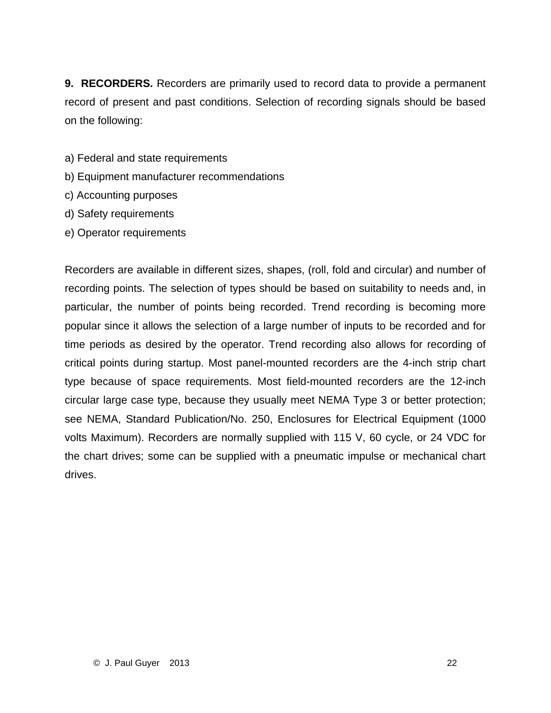**9. RECORDERS.** Recorders are primarily used to record data to provide a permanent record of present and past conditions. Selection of recording signals should be based on the following:

- a) Federal and state requirements
- b) Equipment manufacturer recommendations
- c) Accounting purposes
- d) Safety requirements
- e) Operator requirements

Recorders are available in different sizes, shapes, (roll, fold and circular) and number of recording points. The selection of types should be based on suitability to needs and, in particular, the number of points being recorded. Trend recording is becoming more popular since it allows the selection of a large number of inputs to be recorded and for time periods as desired by the operator. Trend recording also allows for recording of critical points during startup. Most panel-mounted recorders are the 4-inch strip chart type because of space requirements. Most field-mounted recorders are the 12-inch circular large case type, because they usually meet NEMA Type 3 or better protection; see NEMA, Standard Publication/No. 250, Enclosures for Electrical Equipment (1000 volts Maximum). Recorders are normally supplied with 115 V, 60 cycle, or 24 VDC for the chart drives; some can be supplied with a pneumatic impulse or mechanical chart drives.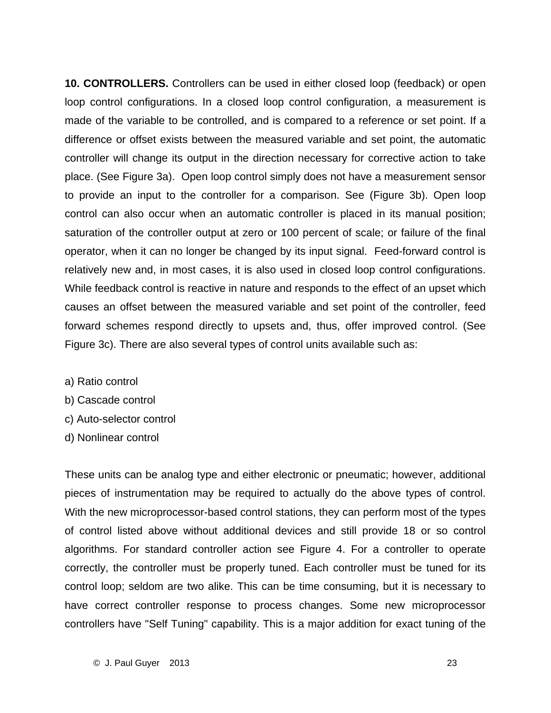**10. CONTROLLERS.** Controllers can be used in either closed loop (feedback) or open loop control configurations. In a closed loop control configuration, a measurement is made of the variable to be controlled, and is compared to a reference or set point. If a difference or offset exists between the measured variable and set point, the automatic controller will change its output in the direction necessary for corrective action to take place. (See Figure 3a). Open loop control simply does not have a measurement sensor to provide an input to the controller for a comparison. See (Figure 3b). Open loop control can also occur when an automatic controller is placed in its manual position; saturation of the controller output at zero or 100 percent of scale; or failure of the final operator, when it can no longer be changed by its input signal. Feed-forward control is relatively new and, in most cases, it is also used in closed loop control configurations. While feedback control is reactive in nature and responds to the effect of an upset which causes an offset between the measured variable and set point of the controller, feed forward schemes respond directly to upsets and, thus, offer improved control. (See Figure 3c). There are also several types of control units available such as:

- a) Ratio control
- b) Cascade control
- c) Auto-selector control
- d) Nonlinear control

These units can be analog type and either electronic or pneumatic; however, additional pieces of instrumentation may be required to actually do the above types of control. With the new microprocessor-based control stations, they can perform most of the types of control listed above without additional devices and still provide 18 or so control algorithms. For standard controller action see Figure 4. For a controller to operate correctly, the controller must be properly tuned. Each controller must be tuned for its control loop; seldom are two alike. This can be time consuming, but it is necessary to have correct controller response to process changes. Some new microprocessor controllers have "Self Tuning" capability. This is a major addition for exact tuning of the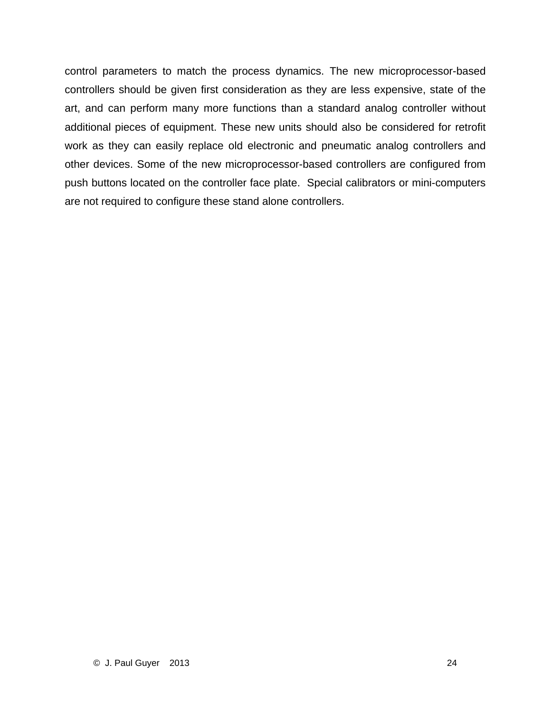control parameters to match the process dynamics. The new microprocessor-based controllers should be given first consideration as they are less expensive, state of the art, and can perform many more functions than a standard analog controller without additional pieces of equipment. These new units should also be considered for retrofit work as they can easily replace old electronic and pneumatic analog controllers and other devices. Some of the new microprocessor-based controllers are configured from push buttons located on the controller face plate. Special calibrators or mini-computers are not required to configure these stand alone controllers.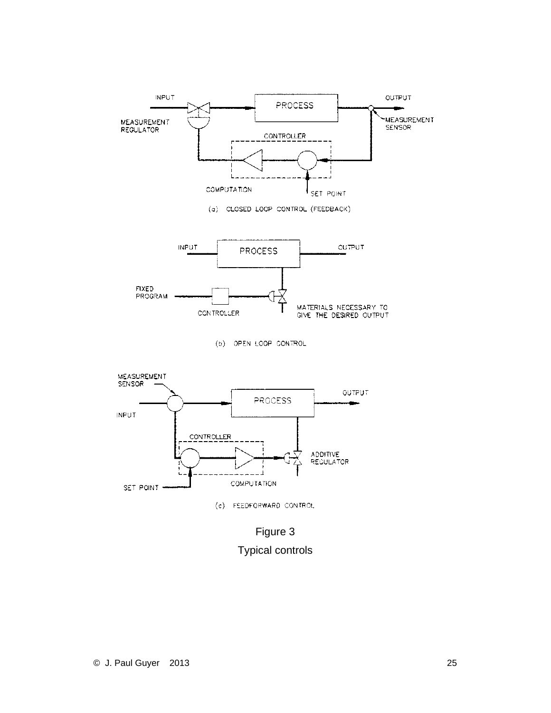



Figure 3 Typical controls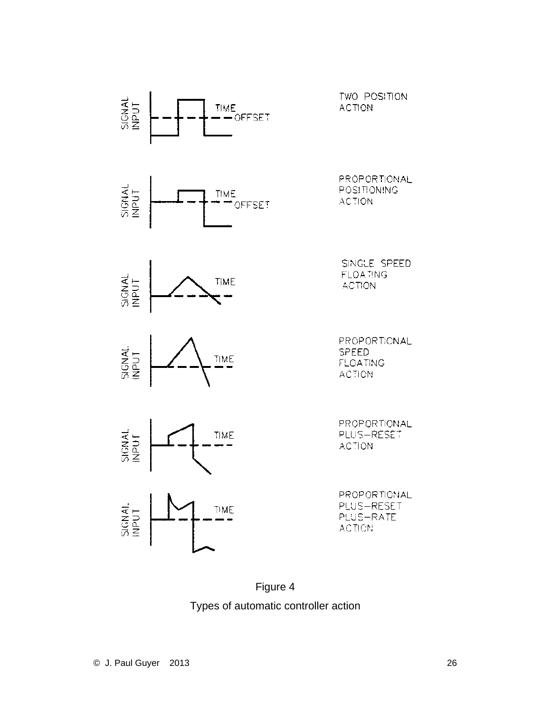

Figure 4 Types of automatic controller action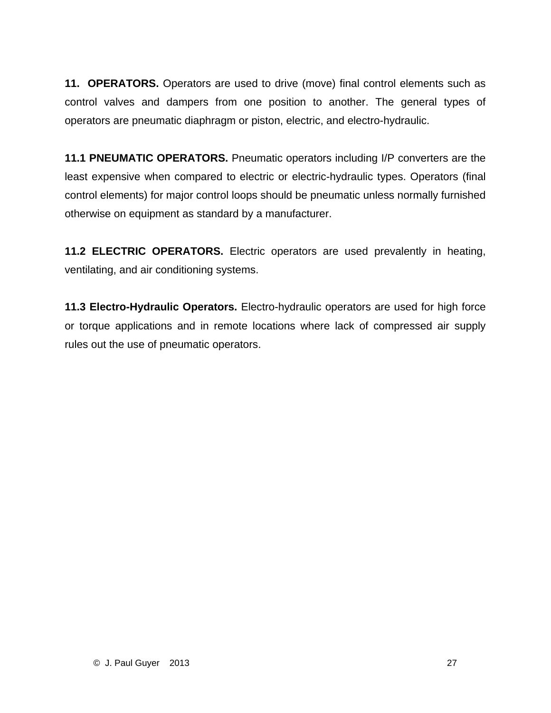**11. OPERATORS.** Operators are used to drive (move) final control elements such as control valves and dampers from one position to another. The general types of operators are pneumatic diaphragm or piston, electric, and electro-hydraulic.

**11.1 PNEUMATIC OPERATORS.** Pneumatic operators including I/P converters are the least expensive when compared to electric or electric-hydraulic types. Operators (final control elements) for major control loops should be pneumatic unless normally furnished otherwise on equipment as standard by a manufacturer.

**11.2 ELECTRIC OPERATORS.** Electric operators are used prevalently in heating, ventilating, and air conditioning systems.

**11.3 Electro-Hydraulic Operators.** Electro-hydraulic operators are used for high force or torque applications and in remote locations where lack of compressed air supply rules out the use of pneumatic operators.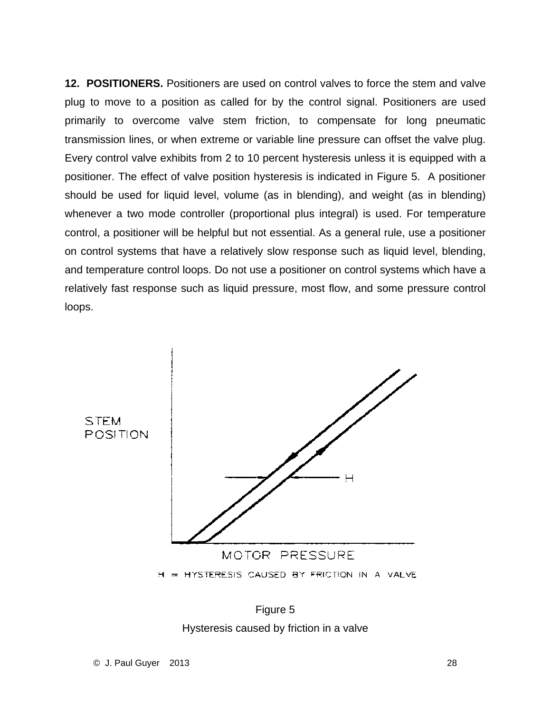**12. POSITIONERS.** Positioners are used on control valves to force the stem and valve plug to move to a position as called for by the control signal. Positioners are used primarily to overcome valve stem friction, to compensate for long pneumatic transmission lines, or when extreme or variable line pressure can offset the valve plug. Every control valve exhibits from 2 to 10 percent hysteresis unless it is equipped with a positioner. The effect of valve position hysteresis is indicated in Figure 5. A positioner should be used for liquid level, volume (as in blending), and weight (as in blending) whenever a two mode controller (proportional plus integral) is used. For temperature control, a positioner will be helpful but not essential. As a general rule, use a positioner on control systems that have a relatively slow response such as liquid level, blending, and temperature control loops. Do not use a positioner on control systems which have a relatively fast response such as liquid pressure, most flow, and some pressure control loops.



Figure 5 Hysteresis caused by friction in a valve